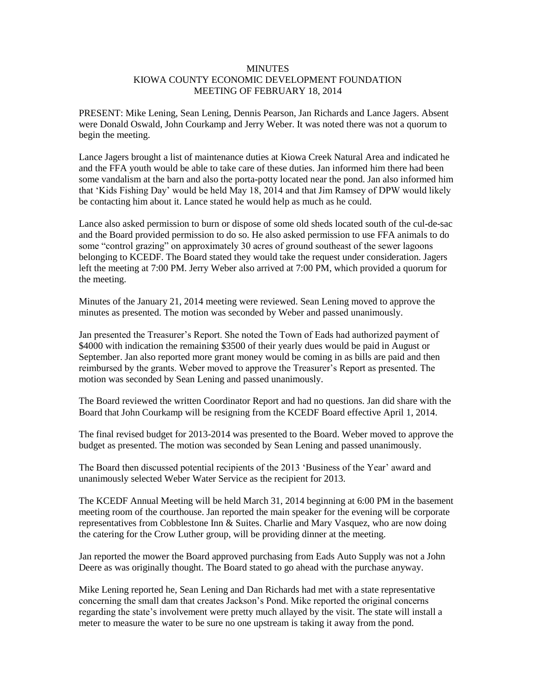## **MINUTES** KIOWA COUNTY ECONOMIC DEVELOPMENT FOUNDATION MEETING OF FEBRUARY 18, 2014

PRESENT: Mike Lening, Sean Lening, Dennis Pearson, Jan Richards and Lance Jagers. Absent were Donald Oswald, John Courkamp and Jerry Weber. It was noted there was not a quorum to begin the meeting.

Lance Jagers brought a list of maintenance duties at Kiowa Creek Natural Area and indicated he and the FFA youth would be able to take care of these duties. Jan informed him there had been some vandalism at the barn and also the porta-potty located near the pond. Jan also informed him that 'Kids Fishing Day' would be held May 18, 2014 and that Jim Ramsey of DPW would likely be contacting him about it. Lance stated he would help as much as he could.

Lance also asked permission to burn or dispose of some old sheds located south of the cul-de-sac and the Board provided permission to do so. He also asked permission to use FFA animals to do some "control grazing" on approximately 30 acres of ground southeast of the sewer lagoons belonging to KCEDF. The Board stated they would take the request under consideration. Jagers left the meeting at 7:00 PM. Jerry Weber also arrived at 7:00 PM, which provided a quorum for the meeting.

Minutes of the January 21, 2014 meeting were reviewed. Sean Lening moved to approve the minutes as presented. The motion was seconded by Weber and passed unanimously.

Jan presented the Treasurer's Report. She noted the Town of Eads had authorized payment of \$4000 with indication the remaining \$3500 of their yearly dues would be paid in August or September. Jan also reported more grant money would be coming in as bills are paid and then reimbursed by the grants. Weber moved to approve the Treasurer's Report as presented. The motion was seconded by Sean Lening and passed unanimously.

The Board reviewed the written Coordinator Report and had no questions. Jan did share with the Board that John Courkamp will be resigning from the KCEDF Board effective April 1, 2014.

The final revised budget for 2013-2014 was presented to the Board. Weber moved to approve the budget as presented. The motion was seconded by Sean Lening and passed unanimously.

The Board then discussed potential recipients of the 2013 'Business of the Year' award and unanimously selected Weber Water Service as the recipient for 2013.

The KCEDF Annual Meeting will be held March 31, 2014 beginning at 6:00 PM in the basement meeting room of the courthouse. Jan reported the main speaker for the evening will be corporate representatives from Cobblestone Inn & Suites. Charlie and Mary Vasquez, who are now doing the catering for the Crow Luther group, will be providing dinner at the meeting.

Jan reported the mower the Board approved purchasing from Eads Auto Supply was not a John Deere as was originally thought. The Board stated to go ahead with the purchase anyway.

Mike Lening reported he, Sean Lening and Dan Richards had met with a state representative concerning the small dam that creates Jackson's Pond. Mike reported the original concerns regarding the state's involvement were pretty much allayed by the visit. The state will install a meter to measure the water to be sure no one upstream is taking it away from the pond.